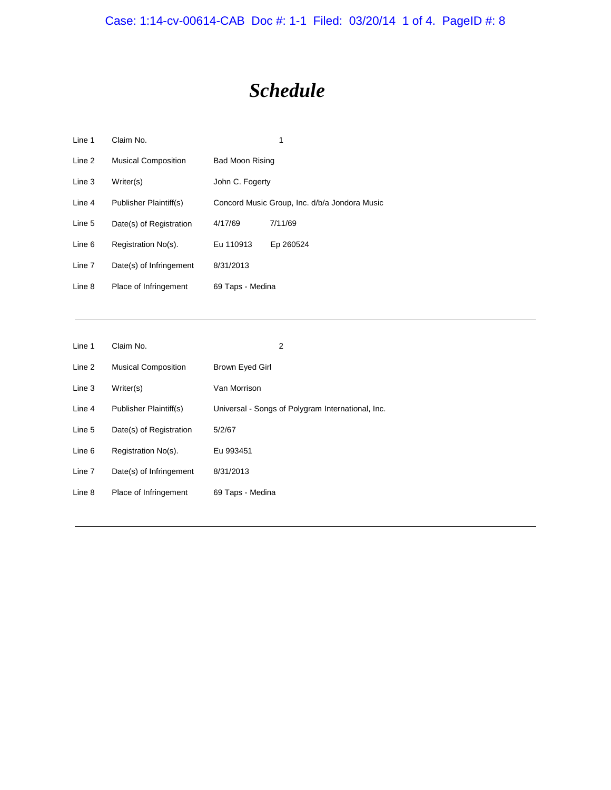Case: 1:14-cv-00614-CAB Doc #: 1-1 Filed: 03/20/14 1 of 4. PageID #: 8

## *Schedule*

| Line 1 | Claim No.                  |                  | 1                                             |
|--------|----------------------------|------------------|-----------------------------------------------|
| Line 2 | <b>Musical Composition</b> | Bad Moon Rising  |                                               |
| Line 3 | Writer(s)                  | John C. Fogerty  |                                               |
| Line 4 | Publisher Plaintiff(s)     |                  | Concord Music Group, Inc. d/b/a Jondora Music |
| Line 5 | Date(s) of Registration    | 4/17/69          | 7/11/69                                       |
| Line 6 | Registration No(s).        | Eu 110913        | Ep 260524                                     |
| Line 7 | Date(s) of Infringement    | 8/31/2013        |                                               |
| Line 8 | Place of Infringement      | 69 Taps - Medina |                                               |

| Line 1 | Claim No.                  | 2                                                 |
|--------|----------------------------|---------------------------------------------------|
| Line 2 | <b>Musical Composition</b> | Brown Eyed Girl                                   |
| Line 3 | Writer(s)                  | Van Morrison                                      |
| Line 4 | Publisher Plaintiff(s)     | Universal - Songs of Polygram International, Inc. |
| Line 5 | Date(s) of Registration    | 5/2/67                                            |
| Line 6 | Registration No(s).        | Eu 993451                                         |
| Line 7 | Date(s) of Infringement    | 8/31/2013                                         |
| Line 8 | Place of Infringement      | 69 Taps - Medina                                  |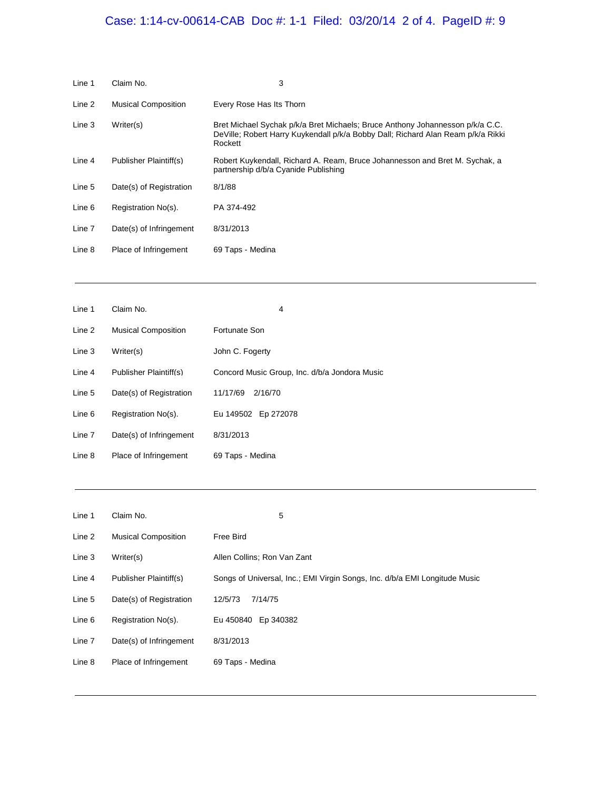## Case: 1:14-cv-00614-CAB Doc #: 1-1 Filed: 03/20/14 2 of 4. PageID #: 9

| Line 1 | Claim No.                  | 3                                                                                                                                                                            |
|--------|----------------------------|------------------------------------------------------------------------------------------------------------------------------------------------------------------------------|
| Line 2 | <b>Musical Composition</b> | Every Rose Has Its Thorn                                                                                                                                                     |
| Line 3 | Writer(s)                  | Bret Michael Sychak p/k/a Bret Michaels; Bruce Anthony Johannesson p/k/a C.C.<br>DeVille; Robert Harry Kuykendall p/k/a Bobby Dall; Richard Alan Ream p/k/a Rikki<br>Rockett |
| Line 4 | Publisher Plaintiff(s)     | Robert Kuykendall, Richard A. Ream, Bruce Johannesson and Bret M. Sychak, a<br>partnership d/b/a Cyanide Publishing                                                          |
| Line 5 | Date(s) of Registration    | 8/1/88                                                                                                                                                                       |
| Line 6 | Registration No(s).        | PA 374-492                                                                                                                                                                   |
| Line 7 | Date(s) of Infringement    | 8/31/2013                                                                                                                                                                    |
| Line 8 | Place of Infringement      | 69 Taps - Medina                                                                                                                                                             |

| Line 1 | Claim No.                  | 4                                             |
|--------|----------------------------|-----------------------------------------------|
| Line 2 | <b>Musical Composition</b> | Fortunate Son                                 |
| Line 3 | Writer(s)                  | John C. Fogerty                               |
| Line 4 | Publisher Plaintiff(s)     | Concord Music Group, Inc. d/b/a Jondora Music |
| Line 5 | Date(s) of Registration    | 11/17/69<br>2/16/70                           |
| Line 6 | Registration No(s).        | Eu 149502 Ep 272078                           |
| Line 7 | Date(s) of Infringement    | 8/31/2013                                     |
| Line 8 | Place of Infringement      | 69 Taps - Medina                              |

| Line 1 | Claim No.                  | 5                                                                          |
|--------|----------------------------|----------------------------------------------------------------------------|
| Line 2 | <b>Musical Composition</b> | Free Bird                                                                  |
| Line 3 | Writer(s)                  | Allen Collins; Ron Van Zant                                                |
| Line 4 | Publisher Plaintiff(s)     | Songs of Universal, Inc.; EMI Virgin Songs, Inc. d/b/a EMI Longitude Music |
| Line 5 | Date(s) of Registration    | 12/5/73<br>7/14/75                                                         |
| Line 6 | Registration No(s).        | Eu 450840<br>Ep 340382                                                     |
| Line 7 | Date(s) of Infringement    | 8/31/2013                                                                  |
| Line 8 | Place of Infringement      | 69 Taps - Medina                                                           |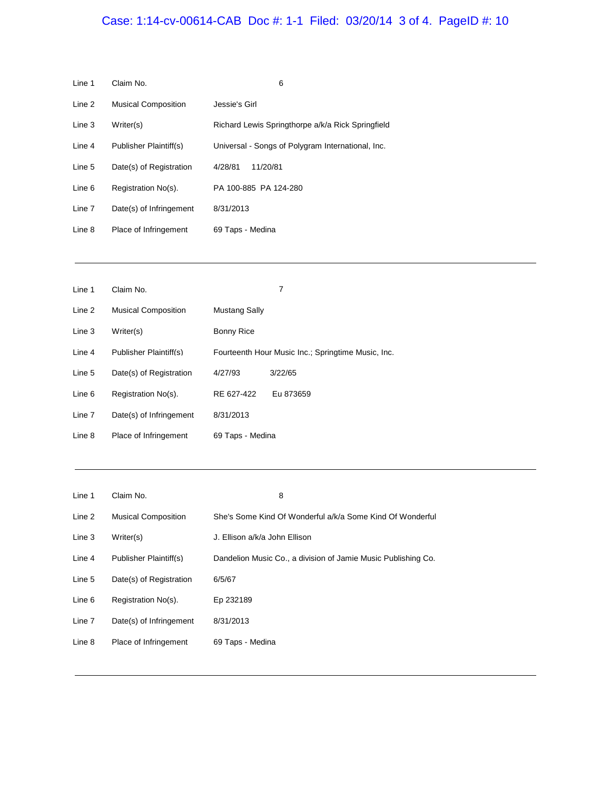## Case: 1:14-cv-00614-CAB Doc #: 1-1 Filed: 03/20/14 3 of 4. PageID #: 10

| Line 1 | Claim No.                  | 6                                                 |
|--------|----------------------------|---------------------------------------------------|
| Line 2 | <b>Musical Composition</b> | Jessie's Girl                                     |
| Line 3 | Writer(s)                  | Richard Lewis Springthorpe a/k/a Rick Springfield |
| Line 4 | Publisher Plaintiff(s)     | Universal - Songs of Polygram International, Inc. |
| Line 5 | Date(s) of Registration    | 4/28/81<br>11/20/81                               |
| Line 6 | Registration No(s).        | PA 100-885 PA 124-280                             |
| Line 7 | Date(s) of Infringement    | 8/31/2013                                         |
| Line 8 | Place of Infringement      | 69 Taps - Medina                                  |

| Line 1 | Claim No.                  |                  | 7                                                  |
|--------|----------------------------|------------------|----------------------------------------------------|
| Line 2 | <b>Musical Composition</b> | Mustang Sally    |                                                    |
| Line 3 | Writer(s)                  | Bonny Rice       |                                                    |
| Line 4 | Publisher Plaintiff(s)     |                  | Fourteenth Hour Music Inc.; Springtime Music, Inc. |
| Line 5 | Date(s) of Registration    | 4/27/93          | 3/22/65                                            |
| Line 6 | Registration No(s).        | RE 627-422       | Eu 873659                                          |
| Line 7 | Date(s) of Infringement    | 8/31/2013        |                                                    |
| Line 8 | Place of Infringement      | 69 Taps - Medina |                                                    |

| Line 1 | Claim No.                  | 8                                                             |
|--------|----------------------------|---------------------------------------------------------------|
| Line 2 | <b>Musical Composition</b> | She's Some Kind Of Wonderful a/k/a Some Kind Of Wonderful     |
| Line 3 | Writer(s)                  | J. Ellison a/k/a John Ellison                                 |
| Line 4 | Publisher Plaintiff(s)     | Dandelion Music Co., a division of Jamie Music Publishing Co. |
| Line 5 | Date(s) of Registration    | 6/5/67                                                        |
| Line 6 | Registration No(s).        | Ep 232189                                                     |
| Line 7 | Date(s) of Infringement    | 8/31/2013                                                     |
| Line 8 | Place of Infringement      | 69 Taps - Medina                                              |

<u> 1989 - Johann Stoff, die besteht is die Stoffense sowie van die Bergere van die Stoffense van die Bergere van</u>